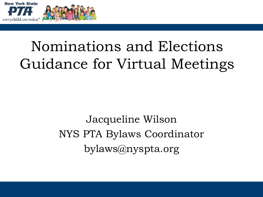



# Nominations and Elections Guidance for Virtual Meetings

Jacqueline Wilson NYS PTA Bylaws Coordinator bylaws@nyspta.org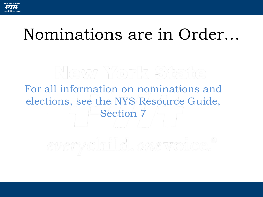

# Nominations are in Order…

For all information on nominations and elections, see the NYS Resource Guide, Section 7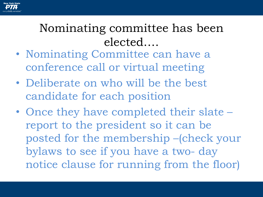

#### Nominating committee has been elected….

- Nominating Committee can have a conference call or virtual meeting
- Deliberate on who will be the best candidate for each position
- Once they have completed their slate report to the president so it can be posted for the membership –(check your bylaws to see if you have a two- day notice clause for running from the floor)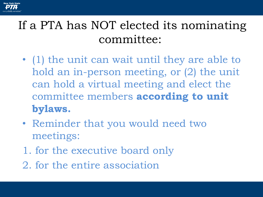

#### If a PTA has NOT elected its nominating committee:

- (1) the unit can wait until they are able to hold an in-person meeting, or (2) the unit can hold a virtual meeting and elect the committee members **according to unit bylaws.**
- Reminder that you would need two meetings:
- 1. for the executive board only
- 2. for the entire association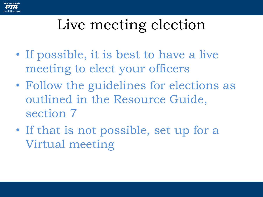

# Live meeting election

- If possible, it is best to have a live meeting to elect your officers
- Follow the guidelines for elections as outlined in the Resource Guide, section 7
- If that is not possible, set up for a Virtual meeting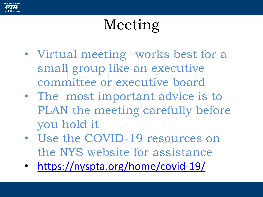

# Meeting

- Virtual meeting –works best for a small group like an executive committee or executive board
- The most important advice is to PLAN the meeting carefully before you hold it
- Use the COVID-19 resources on the NYS website for assistance
- <https://nyspta.org/home/covid-19/>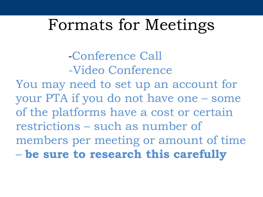### Formats for Meetings

-Conference Call -Video Conference

You may need to set up an account for your PTA if you do not have one – some of the platforms have a cost or certain restrictions – such as number of members per meeting or amount of time – **be sure to research this carefully**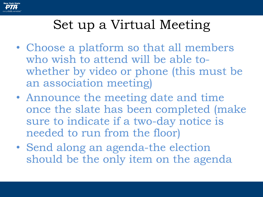

### Set up a Virtual Meeting

- Choose a platform so that all members who wish to attend will be able towhether by video or phone (this must be an association meeting)
- Announce the meeting date and time once the slate has been completed (make sure to indicate if a two-day notice is needed to run from the floor)
- Send along an agenda-the election should be the only item on the agenda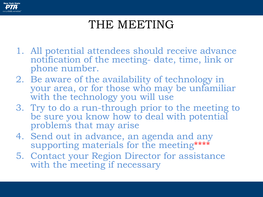

#### THE MEETING

- 1. All potential attendees should receive advance notification of the meeting- date, time, link or phone number.
- 2. Be aware of the availability of technology in your area, or for those who may be unfamiliar with the technology you will use
- 3. Try to do a run-through prior to the meeting to be sure you know how to deal with potential problems that may arise
- 4. Send out in advance, an agenda and any supporting materials for the meeting\*\*\*\*
- 5. Contact your Region Director for assistance with the meeting if necessary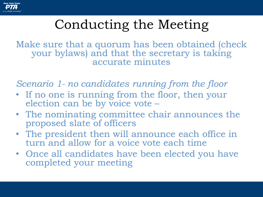

### Conducting the Meeting

Make sure that a quorum has been obtained (check your bylaws) and that the secretary is taking accurate minutes

*Scenario 1- no candidates running from the floor*

- If no one is running from the floor, then your election can be by voice vote –
- The nominating committee chair announces the proposed slate of officers
- The president then will announce each office in turn and allow for a voice vote each time
- Once all candidates have been elected you have completed your meeting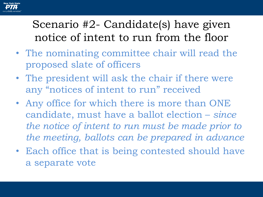

#### Scenario #2- Candidate(s) have given notice of intent to run from the floor

- The nominating committee chair will read the proposed slate of officers
- The president will ask the chair if there were any "notices of intent to run" received
- Any office for which there is more than ONE candidate, must have a ballot election – *since the notice of intent to run must be made prior to the meeting, ballots can be prepared in advance*
- Each office that is being contested should have a separate vote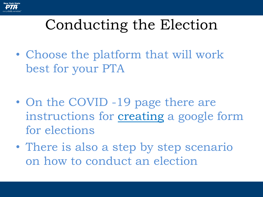

# Conducting the Election

• Choose the platform that will work best for your PTA

- On the COVID -19 page there are instructions for [creating](http://downloads.capta.org/lea/How_to_make_a_Google_Form.pdf) a google form for elections
- There is also a step by step scenario on how to conduct an election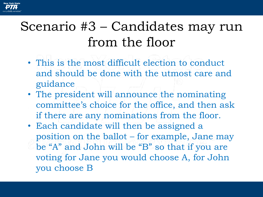

#### Scenario #3 – Candidates may run from the floor

- This is the most difficult election to conduct and should be done with the utmost care and guidance
- The president will announce the nominating committee's choice for the office, and then ask if there are any nominations from the floor.
- Each candidate will then be assigned a position on the ballot – for example, Jane may be "A" and John will be "B" so that if you are voting for Jane you would choose A, for John you choose B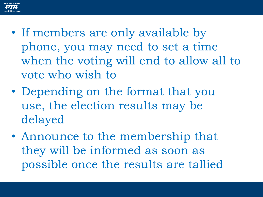

- If members are only available by phone, you may need to set a time when the voting will end to allow all to vote who wish to
- Depending on the format that you use, the election results may be delayed
- Announce to the membership that they will be informed as soon as possible once the results are tallied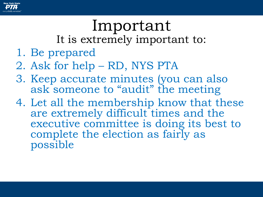

# Important

It is extremely important to:

- 1. Be prepared
- 2. Ask for help RD, NYS PTA
- 3. Keep accurate minutes (you can also ask someone to "audit" the meeting
- 4. Let all the membership know that these are extremely difficult times and the executive committee is doing its best to complete the election as fairly as possible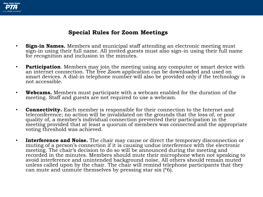

#### **Special Rules for Zoom Meetings**

- **Sign-in Names.** Members and municipal staff attending an electronic meeting must sign-in using their full name. All invited guests must also sign-in using their full name for recognition and inclusion in the minutes.
- **Participation**. Members may join the meeting using any computer or smart device with an internet connection. The free *Zoom* application can be downloaded and used on smart devices. A dial-in telephone number will also be provided only if the technology is not accessible.
- **Webcams.** Members must participate with a webcam enabled for the duration of the meeting. Staff and guests are not required to use a webcam.
- **Connectivity.** Each member is responsible for their connection to the Internet and teleconference; no action will be invalidated on the grounds that the loss of, or poor quality of, a member's individual connection prevented their participation in the meeting provided that at least a quorum of members was connected and the appropriate voting threshold was achieved.
- **Interference and Noise.** The chair may cause or direct the temporary disconnection or muting of a person's connection if it is causing undue interference with the electronic meeting. The chair's decision to do so will be announced during the meeting and recorded in the minutes. Members should mute their microphone when not speaking to avoid interference and unintended background noise. All others should remain muted unless called upon by the chair. The chair will remind telephone participants that they can mute and unmute themselves by pressing star six (\*6).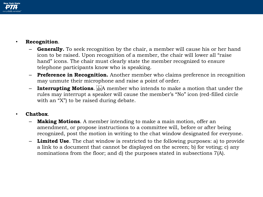

#### • **Recognition**.

- **Generally.** To seek recognition by the chair, a member will cause his or her hand icon to be raised. Upon recognition of a member, the chair will lower all "raise hand" icons. The chair must clearly state the member recognized to ensure telephone participants know who is speaking.
- **Preference in Recognition.** Another member who claims preference in recognition may unmute their microphone and raise a point of order.
- **Interrupting Motions.** EXP. The member who intends to make a motion that under the rules may interrupt a speaker will cause the member's "No" icon (red-filled circle with an "X" to be raised during debate.

#### • **Chatbox**.

- **Making Motions.** A member intending to make a main motion, offer an amendment, or propose instructions to a committee will, before or after being recognized, post the motion in writing to the chat window designated for everyone.
- **Limited Use**. The chat window is restricted to the following purposes: a) to provide a link to a document that cannot be displayed on the screen; b) for voting; c) any nominations from the floor; and d) the purposes stated in subsections 7(A).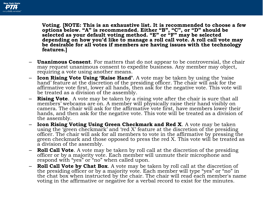

**Voting**. **[NOTE: This is an exhaustive list. It is recommended to choose a few options below. "A" is recommended. Either "B", "C", or "D" should be selected as your default voting method. "E" or "F" may be selected depending on how you'd like to manage a roll call vote. A roll call vote may be desirable for all votes if members are having issues with the technology features.]**

- **Unanimous Consent**. For matters that do not appear to be controversial, the chair may request unanimous consent to expedite business. Any member may object, requiring a vote using another means.
- **Icon Rising Vote Using 'Raise Hand'**. A vote may be taken by using the 'raise hand' feature at the discretion of the presiding officer. The chair will ask for the affirmative vote first, lower all hands, then ask for the negative vote. This vote will be treated as a division of the assembly.
- **Rising Vote.** A vote may be taken by a rising vote after the chair is sure that all members' webcams are on. A member will physically raise their hand visibly on camera. The chair will ask for the affirmative vote first, have members lower their hands, and then ask for the negative vote. This vote will be treated as a division of the assembly.
- **Icon Rising Voting Using Green Checkmark and Red X**. A vote may be taken using the 'green checkmark' and 'red X' feature at the discretion of the presiding officer. The chair will ask for all members to vote in the affirmative by pressing the green checkmark and those opposed to press the red X. This vote will be treated as a division of the assembly.
- **Roll Call Vote**. A vote may be taken by roll call at the discretion of the presiding officer or by a majority vote. Each member will unmute their microphone and respond with "yes" or "no" when called upon.
- **Roll Call Vote by Chat Box**. A vote may be taken by roll call at the discretion of the presiding officer or by a majority vote. Each member will type "yes" or "no" in the chat box when instructed by the chair. The chair will read each member's name voting in the affirmative or negative for a verbal record to exist for the minutes.